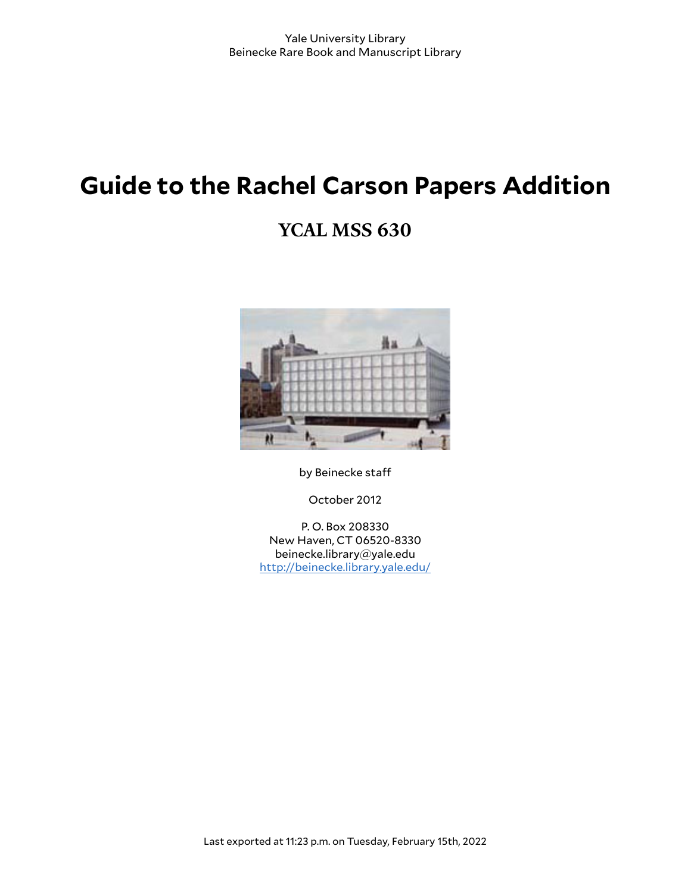# **Guide to the Rachel Carson Papers Addition**

## **YCAL MSS 630**



by Beinecke staff

October 2012

P. O. Box 208330 New Haven, CT 06520-8330 beinecke.library@yale.edu <http://beinecke.library.yale.edu/>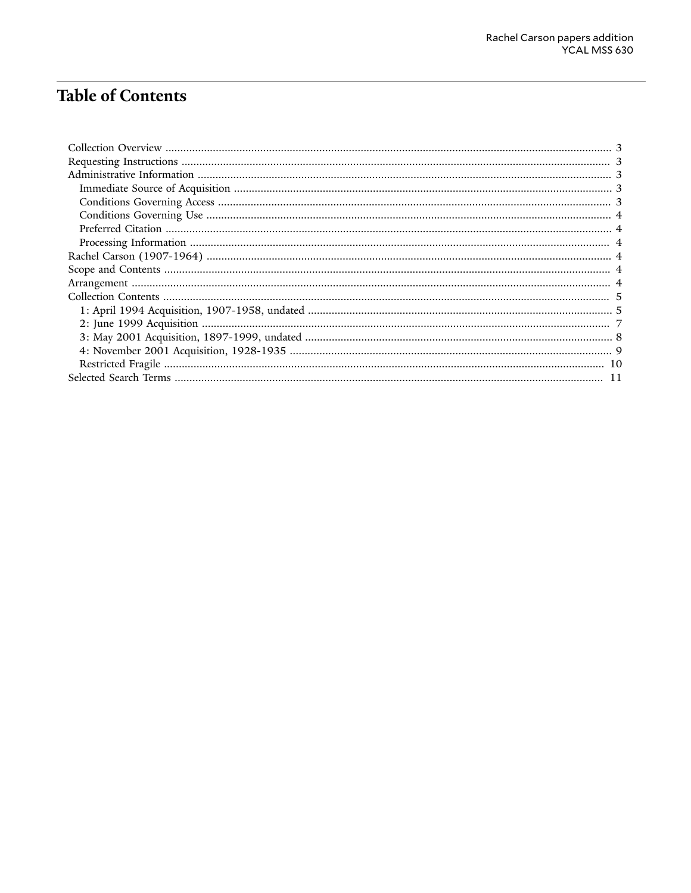## **Table of Contents**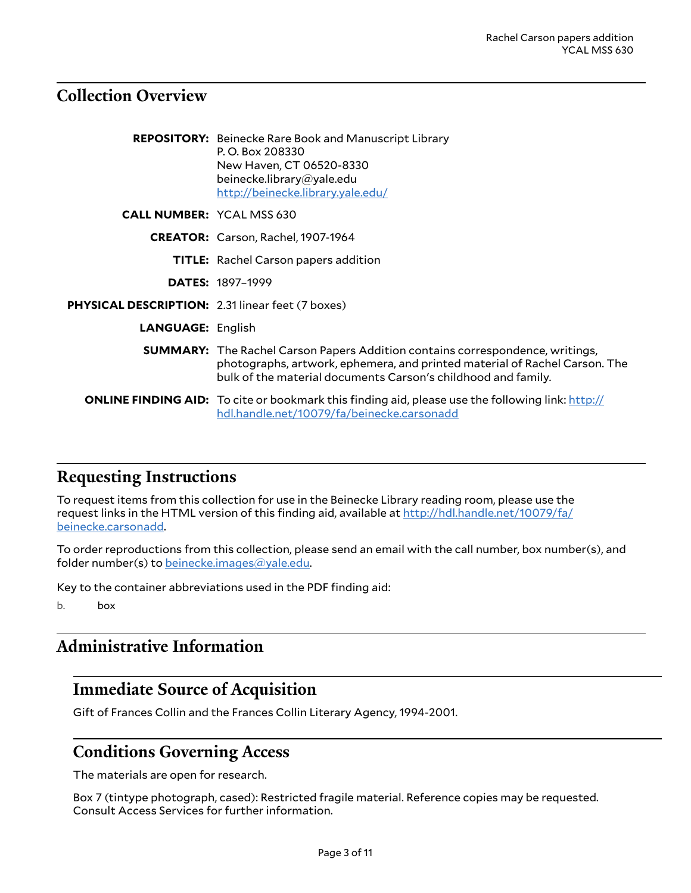### <span id="page-2-0"></span>**Collection Overview**

|                                                  | <b>REPOSITORY:</b> Beinecke Rare Book and Manuscript Library<br>P.O. Box 208330<br>New Haven, CT 06520-8330<br>beinecke.library@yale.edu<br>http://beinecke.library.yale.edu/                                                       |
|--------------------------------------------------|-------------------------------------------------------------------------------------------------------------------------------------------------------------------------------------------------------------------------------------|
| <b>CALL NUMBER: YCAL MSS 630</b>                 |                                                                                                                                                                                                                                     |
|                                                  | CREATOR: Carson, Rachel, 1907-1964                                                                                                                                                                                                  |
|                                                  | <b>TITLE:</b> Rachel Carson papers addition                                                                                                                                                                                         |
|                                                  | <b>DATES: 1897-1999</b>                                                                                                                                                                                                             |
| PHYSICAL DESCRIPTION: 2.31 linear feet (7 boxes) |                                                                                                                                                                                                                                     |
| <b>LANGUAGE: English</b>                         |                                                                                                                                                                                                                                     |
|                                                  | <b>SUMMARY:</b> The Rachel Carson Papers Addition contains correspondence, writings,<br>photographs, artwork, ephemera, and printed material of Rachel Carson. The<br>bulk of the material documents Carson's childhood and family. |
|                                                  | <b>ONLINE FINDING AID:</b> To cite or bookmark this finding aid, please use the following link: http://<br>hdl.handle.net/10079/fa/beinecke.carsonadd                                                                               |

### <span id="page-2-1"></span>**Requesting Instructions**

To request items from this collection for use in the Beinecke Library reading room, please use the request links in the HTML version of this finding aid, available at [http://hdl.handle.net/10079/fa/](http://hdl.handle.net/10079/fa/beinecke.carsonadd) [beinecke.carsonadd](http://hdl.handle.net/10079/fa/beinecke.carsonadd).

To order reproductions from this collection, please send an email with the call number, box number(s), and folder number(s) to [beinecke.images@yale.edu.](mailto:beinecke.images@yale.edu)

Key to the container abbreviations used in the PDF finding aid:

b. box

### <span id="page-2-2"></span>**Administrative Information**

### <span id="page-2-3"></span>**Immediate Source of Acquisition**

Gift of Frances Collin and the Frances Collin Literary Agency, 1994-2001.

### <span id="page-2-4"></span>**Conditions Governing Access**

The materials are open for research.

Box 7 (tintype photograph, cased): Restricted fragile material. Reference copies may be requested. Consult Access Services for further information.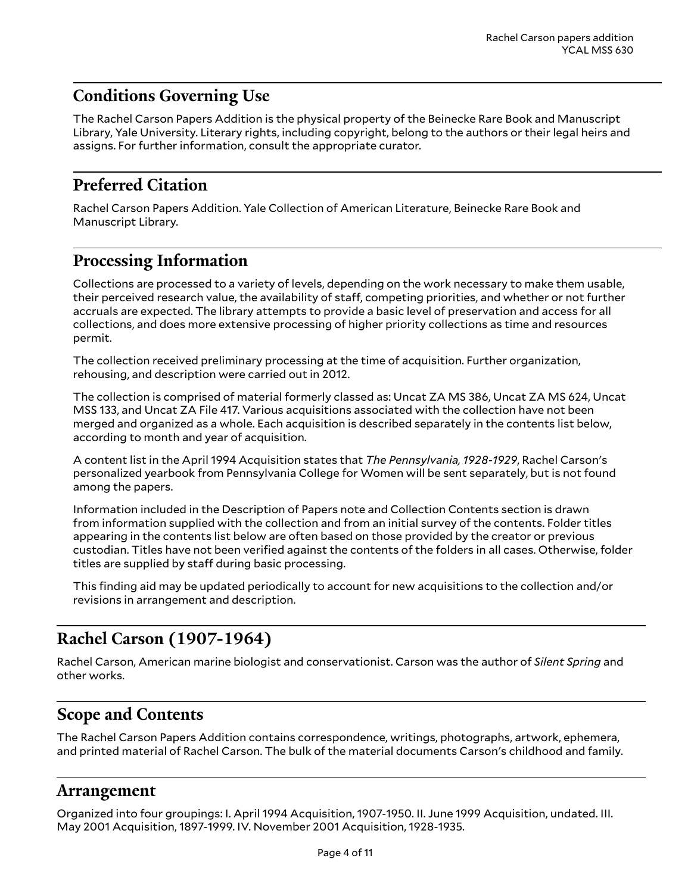### <span id="page-3-0"></span>**Conditions Governing Use**

The Rachel Carson Papers Addition is the physical property of the Beinecke Rare Book and Manuscript Library, Yale University. Literary rights, including copyright, belong to the authors or their legal heirs and assigns. For further information, consult the appropriate curator.

### <span id="page-3-1"></span>**Preferred Citation**

Rachel Carson Papers Addition. Yale Collection of American Literature, Beinecke Rare Book and Manuscript Library.

### <span id="page-3-2"></span>**Processing Information**

Collections are processed to a variety of levels, depending on the work necessary to make them usable, their perceived research value, the availability of staff, competing priorities, and whether or not further accruals are expected. The library attempts to provide a basic level of preservation and access for all collections, and does more extensive processing of higher priority collections as time and resources permit.

The collection received preliminary processing at the time of acquisition. Further organization, rehousing, and description were carried out in 2012.

The collection is comprised of material formerly classed as: Uncat ZA MS 386, Uncat ZA MS 624, Uncat MSS 133, and Uncat ZA File 417. Various acquisitions associated with the collection have not been merged and organized as a whole. Each acquisition is described separately in the contents list below, according to month and year of acquisition.

A content list in the April 1994 Acquisition states that *The Pennsylvania, 1928-1929*, Rachel Carson's personalized yearbook from Pennsylvania College for Women will be sent separately, but is not found among the papers.

Information included in the Description of Papers note and Collection Contents section is drawn from information supplied with the collection and from an initial survey of the contents. Folder titles appearing in the contents list below are often based on those provided by the creator or previous custodian. Titles have not been verified against the contents of the folders in all cases. Otherwise, folder titles are supplied by staff during basic processing.

This finding aid may be updated periodically to account for new acquisitions to the collection and/or revisions in arrangement and description.

### <span id="page-3-3"></span>**Rachel Carson (1907-1964)**

Rachel Carson, American marine biologist and conservationist. Carson was the author of *Silent Spring* and other works.

### <span id="page-3-4"></span>**Scope and Contents**

The Rachel Carson Papers Addition contains correspondence, writings, photographs, artwork, ephemera, and printed material of Rachel Carson. The bulk of the material documents Carson's childhood and family.

#### <span id="page-3-5"></span>**Arrangement**

Organized into four groupings: I. April 1994 Acquisition, 1907-1950. II. June 1999 Acquisition, undated. III. May 2001 Acquisition, 1897-1999. IV. November 2001 Acquisition, 1928-1935.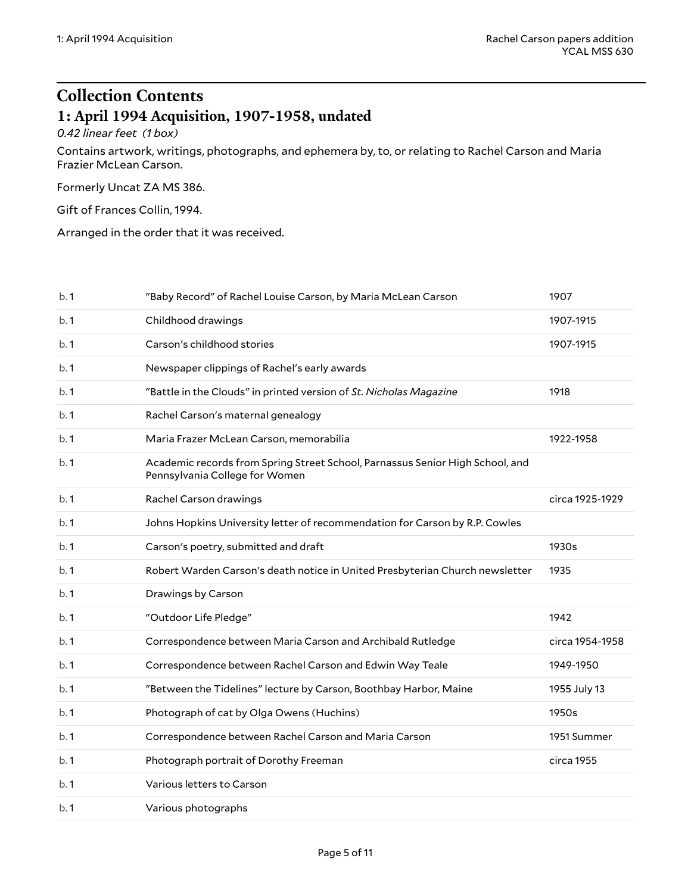## <span id="page-4-0"></span>**Collection Contents 1: April 1994 Acquisition, 1907-1958, undated**

#### <span id="page-4-1"></span>*0.42 linear feet (1 box)*

Contains artwork, writings, photographs, and ephemera by, to, or relating to Rachel Carson and Maria Frazier McLean Carson.

Formerly Uncat ZA MS 386.

Gift of Frances Collin, 1994.

Arranged in the order that it was received.

| b.1 | "Baby Record" of Rachel Louise Carson, by Maria McLean Carson                                                   | 1907            |
|-----|-----------------------------------------------------------------------------------------------------------------|-----------------|
| b.1 | Childhood drawings                                                                                              | 1907-1915       |
| b.1 | Carson's childhood stories                                                                                      | 1907-1915       |
| b.1 | Newspaper clippings of Rachel's early awards                                                                    |                 |
| b.1 | "Battle in the Clouds" in printed version of St. Nicholas Magazine                                              | 1918            |
| b.1 | Rachel Carson's maternal genealogy                                                                              |                 |
| b.1 | Maria Frazer McLean Carson, memorabilia                                                                         | 1922-1958       |
| b.1 | Academic records from Spring Street School, Parnassus Senior High School, and<br>Pennsylvania College for Women |                 |
| b.1 | Rachel Carson drawings                                                                                          | circa 1925-1929 |
| b.1 | Johns Hopkins University letter of recommendation for Carson by R.P. Cowles                                     |                 |
| b.1 | Carson's poetry, submitted and draft                                                                            | 1930s           |
| b.1 | Robert Warden Carson's death notice in United Presbyterian Church newsletter                                    | 1935            |
| b.1 | Drawings by Carson                                                                                              |                 |
| b.1 | "Outdoor Life Pledge"                                                                                           | 1942            |
| b.1 | Correspondence between Maria Carson and Archibald Rutledge                                                      | circa 1954-1958 |
| b.1 | Correspondence between Rachel Carson and Edwin Way Teale                                                        | 1949-1950       |
| b.1 | "Between the Tidelines" lecture by Carson, Boothbay Harbor, Maine                                               | 1955 July 13    |
| b.1 | Photograph of cat by Olga Owens (Huchins)                                                                       | 1950s           |
| b.1 | Correspondence between Rachel Carson and Maria Carson                                                           | 1951 Summer     |
| b.1 | Photograph portrait of Dorothy Freeman                                                                          | circa 1955      |
| b.1 | Various letters to Carson                                                                                       |                 |
| b.1 | Various photographs                                                                                             |                 |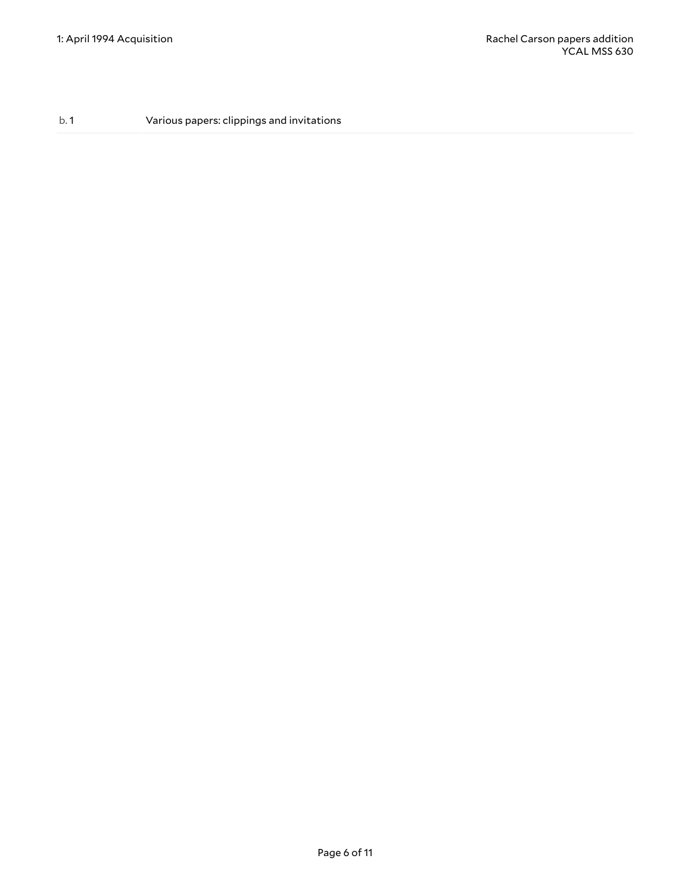b. 1 Various papers: clippings and invitations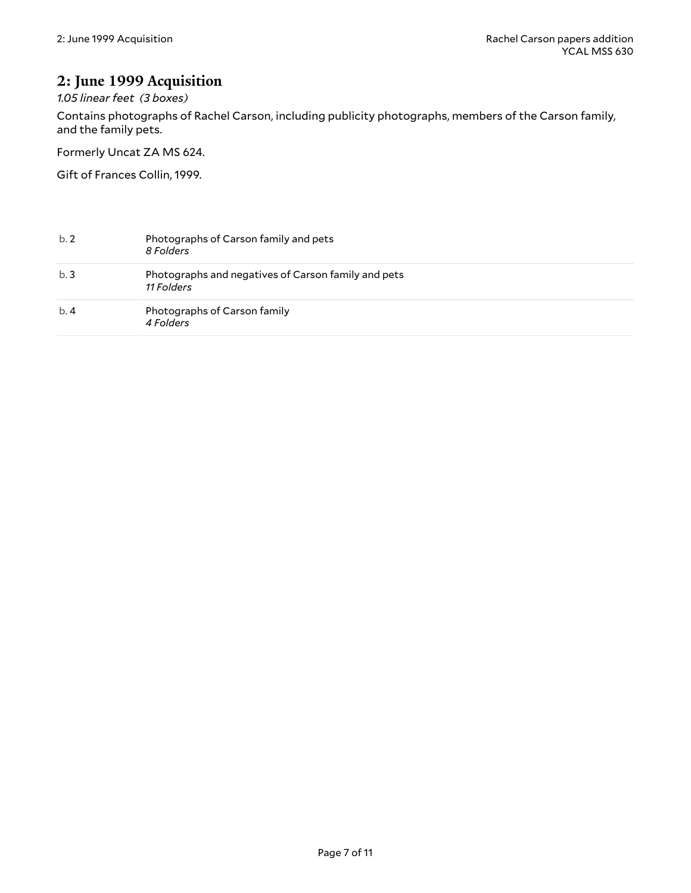### <span id="page-6-0"></span>**2: June 1999 Acquisition**

*1.05 linear feet (3 boxes)*

Contains photographs of Rachel Carson, including publicity photographs, members of the Carson family, and the family pets.

Formerly Uncat ZA MS 624.

Gift of Frances Collin, 1999.

| b.2 | Photographs of Carson family and pets<br>8 Folders                |
|-----|-------------------------------------------------------------------|
| b.3 | Photographs and negatives of Carson family and pets<br>11 Folders |
| b.4 | Photographs of Carson family<br>4 Folders                         |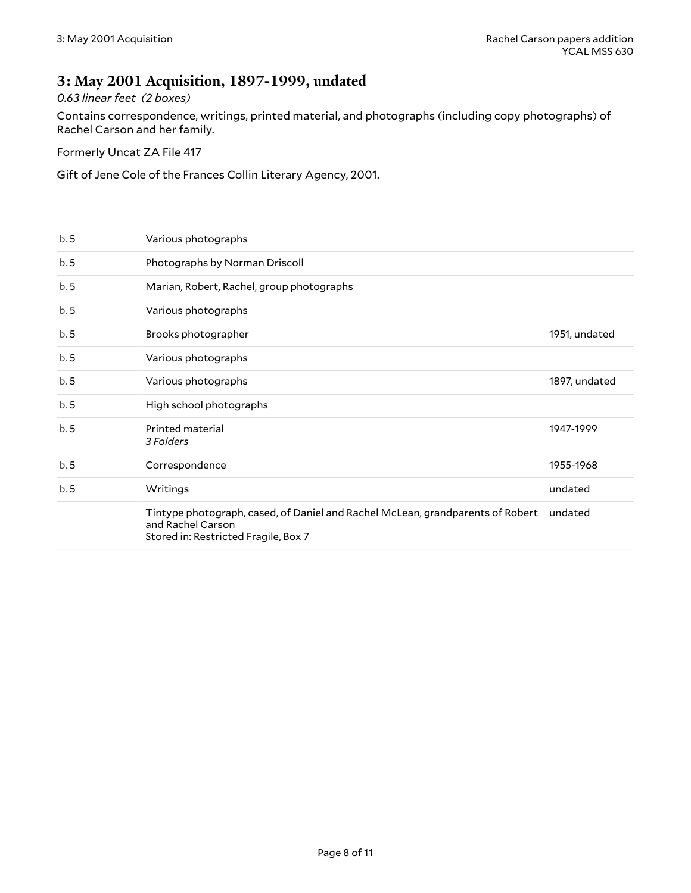#### <span id="page-7-0"></span>**3: May 2001 Acquisition, 1897-1999, undated**

#### *0.63 linear feet (2 boxes)*

Contains correspondence, writings, printed material, and photographs (including copy photographs) of Rachel Carson and her family.

Formerly Uncat ZA File 417

Gift of Jene Cole of the Frances Collin Literary Agency, 2001.

|     | Tintype photograph, cased, of Daniel and Rachel McLean, grandparents of Robert<br>and Rachel Carson<br>Stored in: Restricted Fragile, Box 7 | undated       |
|-----|---------------------------------------------------------------------------------------------------------------------------------------------|---------------|
| b.5 | Writings                                                                                                                                    | undated       |
| b.5 | Correspondence                                                                                                                              | 1955-1968     |
| b.5 | Printed material<br>3 Folders                                                                                                               | 1947-1999     |
| b.5 | High school photographs                                                                                                                     |               |
| b.5 | Various photographs                                                                                                                         | 1897, undated |
| b.5 | Various photographs                                                                                                                         |               |
| b.5 | Brooks photographer                                                                                                                         | 1951, undated |
| b.5 | Various photographs                                                                                                                         |               |
| b.5 | Marian, Robert, Rachel, group photographs                                                                                                   |               |
| b.5 | Photographs by Norman Driscoll                                                                                                              |               |
| b.5 | Various photographs                                                                                                                         |               |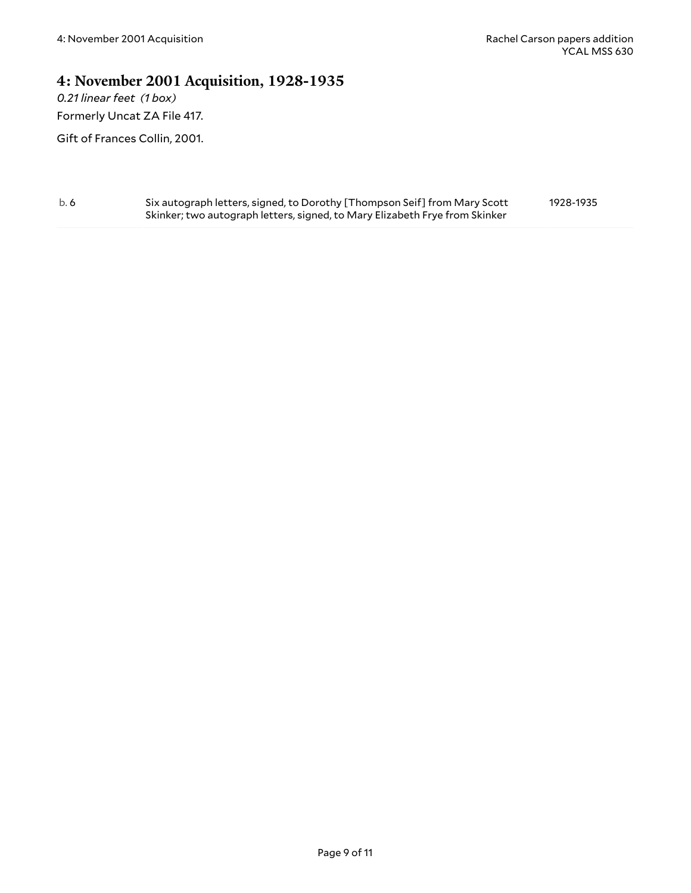#### <span id="page-8-0"></span>**4: November 2001 Acquisition, 1928-1935**

*0.21 linear feet (1 box)* Formerly Uncat ZA File 417.

Gift of Frances Collin, 2001.

b. 6 Six autograph letters, signed, to Dorothy [Thompson Seif] from Mary Scott Skinker; two autograph letters, signed, to Mary Elizabeth Frye from Skinker 1928-1935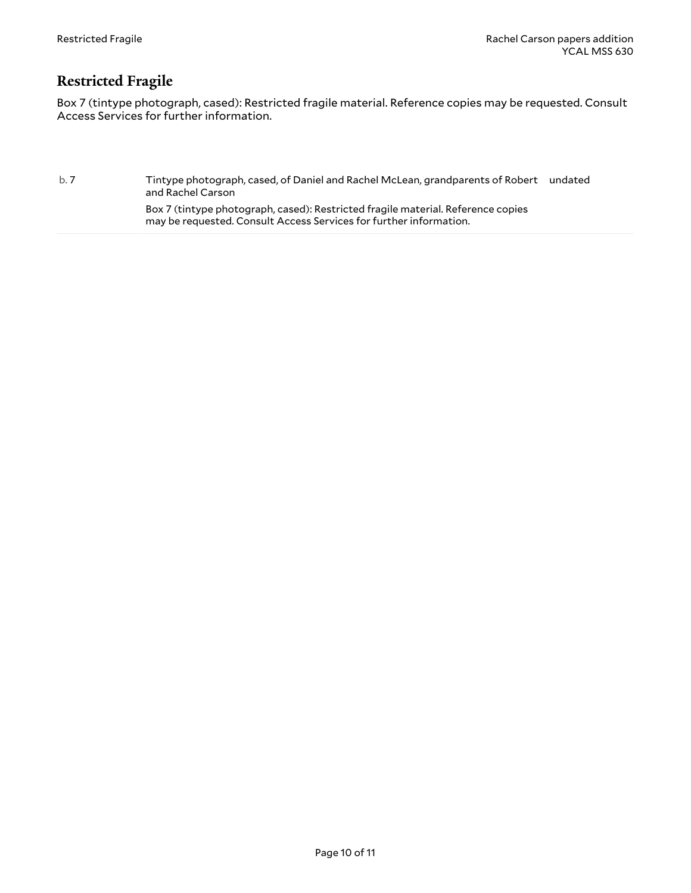#### <span id="page-9-0"></span>**Restricted Fragile**

Box 7 (tintype photograph, cased): Restricted fragile material. Reference copies may be requested. Consult Access Services for further information.

b. 7 Tintype photograph, cased, of Daniel and Rachel McLean, grandparents of Robert undated and Rachel Carson

> Box 7 (tintype photograph, cased): Restricted fragile material. Reference copies may be requested. Consult Access Services for further information.